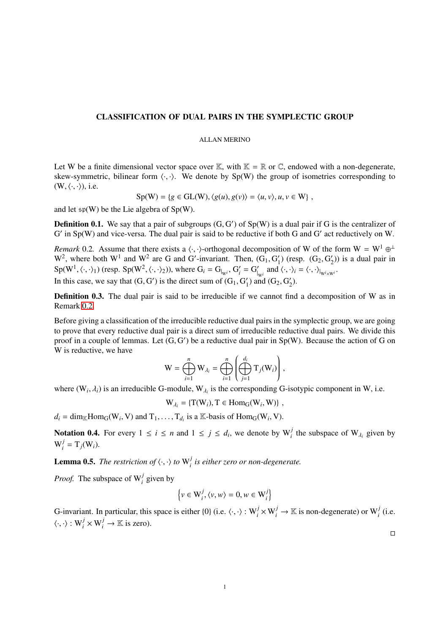## CLASSIFICATION OF DUAL PAIRS IN THE SYMPLECTIC GROUP

## ALLAN MERINO

Let W be a finite dimensional vector space over K, with  $K = \mathbb{R}$  or  $\mathbb{C}$ , endowed with a non-degenerate, skew-symmetric, bilinear form  $\langle \cdot, \cdot \rangle$ . We denote by Sp(W) the group of isometries corresponding to  $(W, \langle \cdot, \cdot \rangle)$ , i.e.

$$
Sp(W) = \{ g \in GL(W), \langle g(u), g(v) \rangle = \langle u, v \rangle, u, v \in W \},
$$

and let  $\mathfrak{sp}(W)$  be the Lie algebra of Sp(W).

**Definition 0.1.** We say that a pair of subgroups  $(G, G')$  of  $Sp(W)$  is a dual pair if G is the centralizer of  $G'$  in  $Sp(W)$  and vice-versa. The dual pair is said to be reductive if both G and  $G'$  act reductively on W. G' in Sp(W) and vice-versa. The dual pair is said to be reductive if both G and G' act reductively on W.

<span id="page-0-0"></span>*Remark* 0.2. Assume that there exists a  $\langle \cdot, \cdot \rangle$ -orthogonal decomposition of W of the form  $W = W^1 \oplus^{\perp} W^2$  where both  $W^1$  and  $W^2$  are G and  $G'$ -invariant. Then  $(G, G')$  (resp.  $(G, G')$ ) is a dual pair in  $W^2$ , where both  $W^1$  and  $W^2$  are G and G'-invariant. Then,  $(G_1, G_1')$ <br>Sp( $W^1$ , (, ,)) (resp.  $Sp(W^2$ , (, ,))) where  $G_1 = G_1$ ,  $G_2' = G_2'$  and (1) (resp.  $(G_2, G'_2)$  $2<sub>2</sub>$ )) is a dual pair in  $Sp(W^1, \langle \cdot, \cdot \rangle_1)$  (resp.  $Sp(W^2, \langle \cdot, \cdot \rangle_2)$ ), where  $G_i = G_{|_{W^i}}$ ,  $G'_i = G'_{|_{W^i}}$  and  $\langle \cdot, \cdot \rangle_i = \langle \cdot, \cdot \rangle_{|_{W^i \times W^i}}$ . In this case, we say that  $(G, G')$  is the direct sum of  $(G_1, G'_1)$  $'_{1}$ ) and (G<sub>2</sub>, G<sub>2</sub><sup> $'_{2}$ </sup>  $_{2}^{\prime}$ ).

**Definition 0.3.** The dual pair is said to be irreducible if we cannot find a decomposition of W as in Remark [0.2.](#page-0-0)

Before giving a classification of the irreducible reductive dual pairs in the symplectic group, we are going to prove that every reductive dual pair is a direct sum of irreducible reductive dual pairs. We divide this proof in a couple of lemmas. Let  $(G, G')$  be a reductive dual pair in Sp(W). Because the action of G on W is reductive we have W is reductive, we have

$$
\mathbf{W} = \bigoplus_{i=1}^n \mathbf{W}_{\lambda_i} = \bigoplus_{i=1}^n \left( \bigoplus_{j=1}^{d_i} \mathrm{T}_j(\mathbf{W}_i) \right),
$$

where  $(W_i, \lambda_i)$  is an irreducible G-module,  $W_{\lambda_i}$  is the corresponding G-isotypic component in W, i.e.

 $W_{\lambda_i} = \{T(W_i), T \in \text{Hom}_G(W_i, W)\},$ 

 $d_i = \text{dim}_{\mathbb{K}} \text{Hom}_G(W_i, V)$  and  $T_1, \ldots, T_{d_i}$  is a  $\mathbb{K}$ -basis of  $\text{Hom}_G(W_i, V)$ .

Notation 0.4. For every  $1 \le i \le n$  and  $1 \le j \le d_i$ , we denote by  $W_i^j$  the subspace of  $W_{\lambda_i}$  given by  $\mathrm{W}^j_i$  $i^j = T_j(W_i).$ 

<span id="page-0-1"></span>**Lemma 0.5.** *The restriction of*  $\langle \cdot, \cdot \rangle$  *to*  $W_i^j$ *i is either zero or non-degenerate.*

*Proof.* The subspace of W*<sup>j</sup> i* given by

$$
\left\{v \in \mathbf{W}_i^j, \langle v, w \rangle = 0, w \in \mathbf{W}_i^j\right\}
$$

G-invariant. In particular, this space is either {0} (i.e.  $\langle \cdot, \cdot \rangle : W_i^j \times W_i^j \to \mathbb{K}$  is non-degenerate) or  $W_i^j$  (i.e.  $\langle \cdot, \cdot \rangle : W_i^j \times W_i^j \to \mathbb{K}$  is zero).

 $\Box$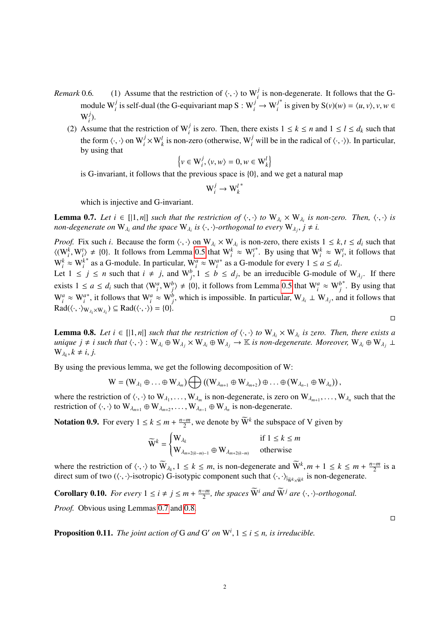- *Remark* 0.6. (1) Assume that the restriction of  $\langle \cdot, \cdot \rangle$  to W<sub>*j*</sub></sub> is non-degenerate. It follows that the Gmodule  $W_i^j$  is self-dual (the G-equivariant map  $S: W_i^j \to W_i^j$ *i* <sup>\*</sup> is given by  $S(v)(w) = \langle u, v \rangle, v, w \in$  $\mathrm{W}^j_i$ *i* ).
	- (2) Assume that the restriction of  $W_i^j$  is zero. Then, there exists  $1 \leq k \leq n$  and  $1 \leq l \leq d_k$  such that the form  $\langle \cdot, \cdot \rangle$  on  $W_i^j \times W_k^l$  is non-zero (otherwise,  $W_i^j$  will be in the radical of  $\langle \cdot, \cdot \rangle$ ). In particular, by using that

$$
\left\{v \in \mathbf{W}_i^j, \langle v, w \rangle = 0, w \in \mathbf{W}_k^l\right\}
$$

is G-invariant, it follows that the previous space is {0}, and we get a natural map

$$
\mathbf{W}_i^j \to \mathbf{W}_k^{l^*}
$$

which is injective and G-invariant.

<span id="page-1-0"></span>**Lemma 0.7.** *Let*  $i \in [[1, n]]$  *such that the restriction of*  $\langle \cdot, \cdot \rangle$  *to*  $W_{\lambda_i} \times W_{\lambda_i}$  *is non-zero. Then,*  $\langle \cdot, \cdot \rangle$  *is* non-*degenerate* on  $W$ , *and the space*  $W$ , *is*  $\langle \cdot, \cdot \rangle$  *cycry*  $W$ ,  $i + i$ *non-degenerate on*  $W_{\lambda_i}$  *and the space*  $W_{\lambda_i}$  *is*  $\langle \cdot, \cdot \rangle$ -*orthogonal to every*  $W_{\lambda_j}$ ,  $j \neq i$ .

*Proof.* Fix such *i*. Because the form  $\langle \cdot, \cdot \rangle$  on  $W_{\lambda_i} \times W_{\lambda_i}$  is non-zero, there exists  $1 \leq k, t \leq d_i$  such that  $\langle \sqrt{W_k} \cdot W_{\lambda_i} + l \cdot 0 \rangle$ . It follows from Lemma 0.5 that  $W_k \approx W^{t*}$ . By using that  $W_k \approx W^{t*}$   $\langle (W_i^k, W_i^l) \neq \{0\}$ . It follows from Lemma [0.5](#page-0-1) that  $W_i^k \approx W_i^l$ <br> $W_i^k \approx W_i^{l*}$  as a G modula. In particular,  $W_i^l \approx W_i^{l*}$  as a G m <sup>\*</sup>. By using that  $W_i^k \approx W_i^t$ , it follows that  $W_i^k \approx W_i^k$ <sup>\*</sup> as a G-module. In particular,  $W_i^a \approx W_i^a$ \* as a G-module for every  $1 \le a \le d_i$ .

Let  $1 \le j \le n$  such that  $i \ne j$ , and  $W_j^b$ ,  $1 \le b \le d_j$ , be an irreducible G-module of  $W_{\lambda_j}$ . If there exists  $1 \le a \le d_i$  such that  $\langle W_i^a, W_j^b \rangle \ne \{0\}$ , it follows from Lemma [0.5](#page-0-1) that  $W_i^a \approx W_j^b$ <br>W<sub>a</sub> W<sub>a</sub><sup>*i*</sup></sub> M<sub>a</sub><sup>*i*</sup> M<sub>a</sub><sup>*i*</sup> M<sub>a</sub><sup>*i*</sup> M<sub>a</sub><sup>*i*</sup> M<sub>a</sub><sup>*i*</sup> M<sub>a</sub><sup>*i*</sup> M<sub>a</sub><sup>*i*</sup> M<sub>a</sub><sup>*i*</sup> M<sub>a</sub><sup>*i*</sup> M<sub>a</sub><sup>*i*</sup> M<sub>a</sub><sup>*i*</sup> \*. By using that  $W_i^a \approx W_i^a$ <sup>\*</sup>, it follows that  $W_i^a \approx W_j^b$ , which is impossible. In particular,  $W_{\lambda_i} \perp W_{\lambda_j}$ , and it follows that  $Rad(\langle \cdot, \cdot \rangle_{W_{\lambda_i} \times W_{\lambda_i}}) \subseteq Rad(\langle \cdot, \cdot \rangle) = \{0\}.$ 

<span id="page-1-1"></span>**Lemma 0.8.** *Let*  $i \in [[1, n]]$  *such that the restriction of*  $\langle \cdot, \cdot \rangle$  *to*  $W_{\lambda_i} \times W_{\lambda_i}$  *is zero. Then, there exists a unique*  $i \neq i$  *such that*  $\langle \cdot, \cdot \rangle \cdot W_{\lambda_i} \oplus W_{\lambda_i} \times W_{\lambda_i} \oplus W_{\lambda_i} \rightarrow \mathbb{K}$  *is non-deg unique*  $j \neq i$  such that  $\langle \cdot, \cdot \rangle : W_{\lambda_i} \oplus W_{\lambda_i} \times W_{\lambda_i} \oplus W_{\lambda_j} \rightarrow \mathbb{K}$  *is non-degenerate. Moreover,*  $W_{\lambda_i} \oplus W_{\lambda_j} \perp$  $W_{\lambda_k}, k \neq i, j.$ 

By using the previous lemma, we get the following decomposition of W:

$$
W=(W_{\lambda_1}\oplus\ldots\oplus W_{\lambda_m})\bigoplus\left((W_{\lambda_{m+1}}\oplus W_{\lambda_{m+2}})\oplus\ldots\oplus(W_{\lambda_{n-1}}\oplus W_{\lambda_n})\right),
$$

where the restriction of  $\langle \cdot, \cdot \rangle$  to  $W_{\lambda_1}, \ldots, W_{\lambda_m}$  is non-degenerate, is zero on  $W_{\lambda_{m+1}}, \ldots, W_{\lambda_n}$  such that the restriction of  $\langle \cdot, \cdot \rangle$  to  $W_{\lambda_n} \cong W_{\lambda_n} \oplus W_{\lambda_n}$  is non-degenerate restriction of  $\langle \cdot, \cdot \rangle$  to  $W_{\lambda_{m+1}} \oplus W_{\lambda_{m+2}}, \ldots, W_{\lambda_{n-1}} \oplus W_{\lambda_n}$  is non-degenerate.

**Notation 0.9.** For every  $1 \le k \le m + \frac{n-m}{2}$  $\frac{-m}{2}$ , we denote by  $\widetilde{W}^k$  the subspace of V given by

$$
\widetilde{\mathbf{W}}^k = \begin{cases} \mathbf{W}_{\lambda_k} & \text{if } 1 \le k \le m \\ \mathbf{W}_{\lambda_{m+2(k-m)-1}} \oplus \mathbf{W}_{\lambda_{m+2(k-m)}} & \text{otherwise} \end{cases}
$$

where the restriction of  $\langle \cdot, \cdot \rangle$  to  $\widetilde{W}_{\lambda_k}, 1 \leq k \leq m$ , is non-degenerate and  $\widetilde{W}^k, m + 1 \leq k \leq m + \frac{n-m}{2}$ <br>direct sum of two  $(\langle \cdot, \cdot \rangle)$  isotropic) G-isotropic component such that  $\langle \cdot, \cdot \rangle$  is non-degenera  $\frac{-m}{2}$  is a direct sum of two ( $\langle \cdot, \cdot \rangle$ -isotropic) G-isotypic component such that  $\langle \cdot, \cdot \rangle_{|\tilde{w}^k \times \tilde{w}^k}$  is non-degenerate.

**Corollary 0.10.** *For every*  $1 \le i \ne j \le m + \frac{n-m}{2}$  $\frac{-m}{2}$ , the spaces  $\widetilde{W}^i$  and  $\widetilde{W}^j$  are  $\langle \cdot, \cdot \rangle$ -orthogonal.

*Proof.* Obvious using Lemmas [0.7](#page-1-0) and [0.8.](#page-1-1)

**Proposition 0.11.** *The joint action of* G *and* G' *on*  $W^i$ ,  $1 \le i \le n$ , *is irreducible.* 

2

 $\Box$ 

 $\Box$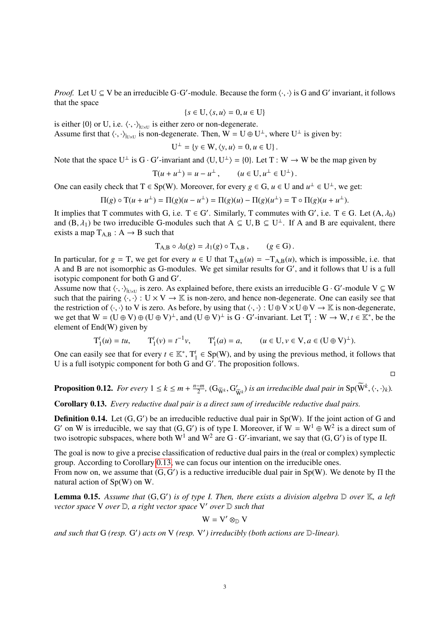*Proof.* Let  $U \subseteq V$  be an irreducible G·G'-module. Because the form  $\langle \cdot, \cdot \rangle$  is G and G' invariant, it follows that the space that the space

$$
\{s \in U, \langle s, u \rangle = 0, u \in U\}
$$

is either  $\{0\}$  or U, i.e.  $\langle \cdot, \cdot \rangle_{\mathbb{U} \times \mathbb{U}}$  is either zero or non-degenerate.<br>Assume first that  $\langle \cdot, \cdot \rangle_{\mathbb{U}}$  is non-degenerate. Then  $W = \Pi \oplus \Pi$ 

Assume first that  $\langle \cdot, \cdot \rangle_{|U \times U}$  is non-degenerate. Then,  $W = U \oplus U^{\perp}$ , where  $U^{\perp}$  is given by:

$$
U^{\perp} = \{ y \in W, \langle y, u \rangle = 0, u \in U \}.
$$

Note that the space U<sup>⊥</sup> is G · G'-invariant and  $\langle U, U^{\perp} \rangle = \{0\}$ . Let T : W  $\rightarrow$  W be the map given by

$$
T(u + u^{\perp}) = u - u^{\perp}, \qquad (u \in U, u^{\perp} \in U^{\perp}).
$$

One can easily check that  $T \in Sp(W)$ . Moreover, for every  $g \in G$ ,  $u \in U$  and  $u^{\perp} \in U^{\perp}$ , we get:

$$
\Pi(g) \circ T(u + u^{\perp}) = \Pi(g)(u - u^{\perp}) = \Pi(g)(u) - \Pi(g)(u^{\perp}) = T \circ \Pi(g)(u + u^{\perp}).
$$

It implies that T commutes with G, i.e.  $T \in G'$ . Similarly, T commutes with G', i.e.  $T \in G$ . Let  $(A, \lambda_0)$ <br>and  $(B, \lambda_1)$  be two irreducible G-modules such that  $A \subset H R \subset H^{\perp}$ . If A and B are equivalent there and  $(B, \lambda_1)$  be two irreducible G-modules such that  $A \subseteq U$ ,  $B \subseteq U^{\perp}$ . If A and B are equivalent, there exists a man  $T_{\lambda}$  p :  $A \rightarrow B$  such that exists a map  $T_{A,B}: A \rightarrow B$  such that

$$
T_{A,B} \circ \lambda_0(g) = \lambda_1(g) \circ T_{A,B}, \qquad (g \in G).
$$

In particular, for  $g = T$ , we get for every  $u \in U$  that  $T_{A,B}(u) = -T_{A,B}(u)$ , which is impossible, i.e. that A and B are not isomorphic as G-modules. We get similar results for G', and it follows that U is a full isotypic component for both G and G'.

Assume now that  $\langle \cdot, \cdot \rangle_{U \times U}$  is zero. As explained before, there exists an irreducible  $G \cdot G'$ -module  $V \subseteq W$ <br>such that the pairing  $\langle \cdot, \cdot \rangle : U \times V \to \mathbb{K}$  is non-zero, and hence non-degenerate. One can easily see th such that the pairing  $\langle \cdot, \cdot \rangle : U \times V \to \mathbb{K}$  is non-zero, and hence non-degenerate. One can easily see that the restriction of  $\langle \cdot, \cdot \rangle$  to V is zero. As before, by using that  $\langle \cdot, \cdot \rangle : U \oplus V \times U \oplus V \to \mathbb{K}$  is non-degenerate, we get that  $W = (U \oplus V) \oplus (U \oplus V)^{\perp}$ , and  $(U \oplus V)^{\perp}$  is  $G \cdot G'$ -invariant. Let  $T_1^t : W \to W, t \in \mathbb{K}^*$ , be the element of End(W) given by element of End(W) given by

$$
T_1^t(u) = tu, \t T_1^t(v) = t^{-1}v, \t T_1^t(a) = a, \t (u \in U, v \in V, a \in (U \oplus V)^{\perp}).
$$

One can easily see that for every  $t \in \mathbb{K}^*$ ,  $T_1^t \in Sp(W)$ , and by using the previous method, it follows that U is a full isotypic component for both G and  $G'$ . The proposition follows.

 $\Box$ 

**Proposition 0.12.** *For every*  $1 \leq k \leq m + \frac{n-m}{2}$  $\frac{-m}{2}$ ,  $(G_{\widetilde{W}^k}, G'_{\widetilde{V}})$  $\left(\frac{\partial}{\partial \widetilde{W}}\right)$  *is an irreducible dual pair in*  $\text{Sp}(\widetilde{W}^k,\langle\cdot,\cdot\rangle_k)$ *.* 

<span id="page-2-0"></span>Corollary 0.13. *Every reductive dual pair is a direct sum of irreducible reductive dual pairs.*

**Definition 0.14.** Let  $(G, G')$  be an irreducible reductive dual pair in Sp(W). If the joint action of G and  $G'$  on W is irreducible, we say that  $(G, G')$  is of type I. Moreover, if  $W = W^1 \oplus W^2$  is a direct sum of G' on W is irreducible, we say that  $(G, G')$  is of type I. Moreover, if  $W = W^1 \oplus W^2$  is a direct sum of two isotropic subspaces, where both  $W^1$  and  $W^2$  are G. G'-invariant, we say that  $(G, G')$  is of type II two isotropic subspaces, where both  $W^1$  and  $W^2$  are  $G \cdot G'$ -invariant, we say that  $(G, G')$  is of type II.

The goal is now to give a precise classification of reductive dual pairs in the (real or complex) symplectic group. According to Corollary [0.13,](#page-2-0) we can focus our intention on the irreducible ones.

From now on, we assume that  $(G, G')$  is a reductive irreducible dual pair in Sp(W). We denote by  $\Pi$  the natural action of Sp(W) on W natural action of Sp(W) on W.

<span id="page-2-1"></span>**Lemma 0.15.** Assume that  $(G, G')$  is of type I. Then, there exists a division algebra  $D$  over  $K$ , a left<br>vector space V over  $D$  a right vector space V' over  $D$  such that *vector space* V *over* D*, a right vector space* V <sup>0</sup> *over* D *such that*

$$
W = V' \otimes_{\mathbb{D}} V
$$

and such that G (resp. G') acts on V (resp. V') irreducibly (both actions are D-linear).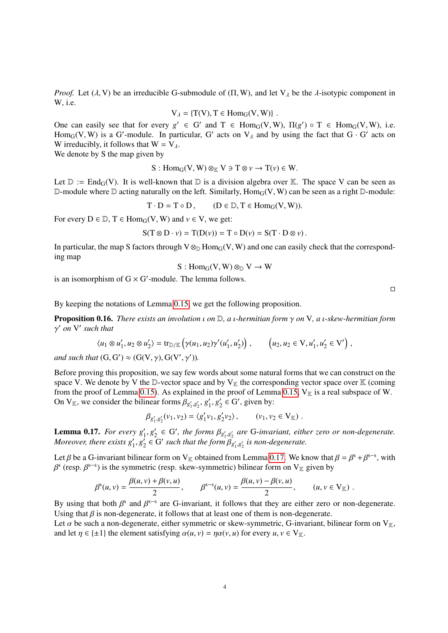*Proof.* Let ( $\lambda$ , V) be an irreducible G-submodule of ( $\Pi$ , W), and let  $V_{\lambda}$  be the  $\lambda$ -isotypic component in W, i.e.

$$
V_{\lambda} = \{T(V), T \in Hom_G(V, W)\}
$$

 $V_{\lambda} = \{T(V), T \in Hom_G(V, W)\}\;.$ <br>One can easily see that for every  $g' \in G'$  and  $T \in Hom_G(V, W)$ ,  $\Pi(g') \circ T \in Hom_G(V, W)$ , i.e.<br>Home (V, W) is a G'-module. In particular, G' acts on  $V_{\lambda}$  and by using the fact that  $G \cdot G'$  acts on Hom<sub>G</sub>(V, W) is a G'-module. In particular, G' acts on  $V_\lambda$  and by using the fact that  $G \cdot G'$  acts on W irreducibly it follows that  $W = V_\lambda$ W irreducibly, it follows that  $W = V_{\lambda}$ .

We denote by S the map given by

$$
S: \text{Hom}_G(V, W) \otimes_{\mathbb{K}} V \ni T \otimes \nu \to T(\nu) \in W.
$$

Let  $\mathbb{D} := \text{End}_{G}(V)$ . It is well-known that  $\mathbb{D}$  is a division algebra over K. The space V can be seen as D-module where D acting naturally on the left. Similarly,  $Hom_G(V, W)$  can be seen as a right D-module:

 $T \cdot D = T \circ D$ ,  $(D \in \mathbb{D}, T \in \text{Hom}_G(V, W))$ .

For every  $D \in \mathbb{D}$ ,  $T \in Hom_G(V, W)$  and  $v \in V$ , we get:

$$
S(T \otimes D \cdot \nu) = T(D(\nu)) = T \circ D(\nu) = S(T \cdot D \otimes \nu).
$$

In particular, the map S factors through  $V \otimes_D Hom_G(V, W)$  and one can easily check that the corresponding map

 $S: Hom_G(V, W) \otimes_{\mathbb{D}} V \to W$ 

is an isomorphism of  $G \times G'$ -module. The lemma follows.

 $\Box$ 

By keeping the notations of Lemma [0.15,](#page-2-1) we get the following proposition.

<span id="page-3-1"></span>Proposition 0.16. *There exists an involution* ι *on* <sup>D</sup>*, a* ι*-hermitian form* γ *on* <sup>V</sup>*, a* ι*-skew-hermitian form* γ <sup>0</sup> *on* V 0 *such that*

$$
\langle u_1 \otimes u_1', u_2 \otimes u_2' \rangle = \text{tr}_{\mathbb{D}/\mathbb{K}} \left( \gamma(u_1, u_2) \gamma'(u_1', u_2') \right), \qquad \left( u_2, u_2 \in \mathcal{V}, u_1', u_2' \in \mathcal{V}' \right),
$$

*and such that*  $(G, G') \approx (G(V, \gamma), G(V', \gamma')).$ 

Before proving this proposition, we say few words about some natural forms that we can construct on the space V. We denote by V the D-vector space and by  $V_K$  the corresponding vector space over K (coming from the proof of Lemma [0.15\)](#page-2-1). As explained in the proof of Lemma [0.15,](#page-2-1)  $V_K$  is a real subspace of W. On  $V_{\mathbb{K}}$ , we consider the bilinear forms  $\beta_{g'_1, g'_2}, g'_1$  $\frac{1}{1}, g_2'$  $y_2 \in G'$ , given by:

$$
\beta_{g'_1, g'_2}(v_1, v_2) = \langle g'_1 v_1, g'_2 v_2 \rangle, \qquad (v_1, v_2 \in V_{\mathbb{K}}).
$$

<span id="page-3-0"></span>**Lemma 0.17.** For every  $g'_1, g'_2$ <br>Moreover there exists  $g'_1, g'_2$  $Q'_2 \in G'$ , the forms  $\beta_{g'_1, g'_2}$  are G-invariant, either zero or non-degenerate.<br>*G*' such that the form  $\beta$ , , is non-degenerate. Moreover, there exists  $g'_1, g'_2 \in G'$  such that the form  $\beta_{g}$  $Q'_2 \in G'$  such that the form  $\beta_{g'_1, g'_2}$  is non-degenerate.

Let β be a G-invariant bilinear form on V<sub>K</sub> obtained from Lemma [0.17.](#page-3-0) We know that  $\beta = \beta^{s} + \beta^{s-s}$ , with  $\beta^{s}$  (resp.  $\beta^{s-s}$ ) is the symmetric (resp. skew-symmetric) bilinear form on V<sub>x</sub> given by β <sup>s</sup> (resp.  $\beta^{s-s}$ ) is the symmetric (resp. skew-symmetric) bilinear form on V<sub>K</sub> given by

$$
\beta^{s}(u,v) = \frac{\beta(u,v) + \beta(v,u)}{2}, \qquad \beta^{s-s}(u,v) = \frac{\beta(u,v) - \beta(v,u)}{2}, \qquad (u,v \in V_{\mathbb{K}}).
$$

By using that both  $\beta^s$  and  $\beta^{s-s}$  are G-invariant, it follows that they are either zero or non-degenerate.<br>Using that  $\beta$  is non-degenerate, it follows that at least one of them is non-degenerate. Using that  $\beta$  is non-degenerate, it follows that at least one of them is non-degenerate.

Let  $\alpha$  be such a non-degenerate, either symmetric or skew-symmetric, G-invariant, bilinear form on  $V_{\mathbb{K}}$ , and let  $\eta \in {\pm 1}$  the element satisfying  $\alpha(u, v) = \eta \alpha(v, u)$  for every  $u, v \in V_{\mathbb{K}}$ .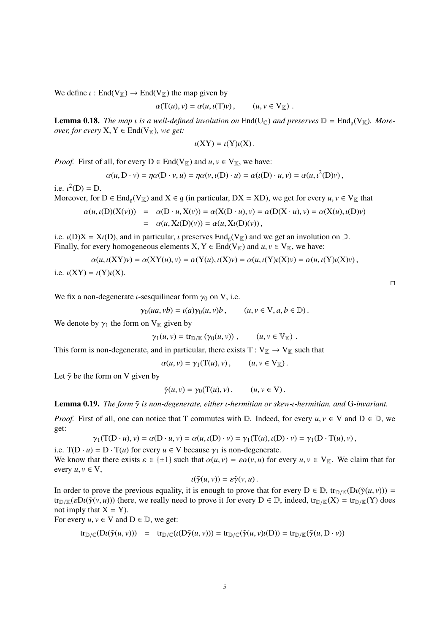We define  $\iota$  : End(V<sub>K</sub>)  $\rightarrow$  End(V<sub>K</sub>) the map given by

$$
\alpha(\mathbf{T}(u), v) = \alpha(u, \iota(\mathbf{T})v), \qquad (u, v \in \mathbf{V}_{\mathbb{K}}).
$$

**Lemma 0.18.** *The map i is a well-defined involution on*  $End(U_{\mathbb{C}})$  *and preserves*  $\mathbb{D} = End_{\mathfrak{a}}(V_{\mathbb{K}})$ *. Moreover, for every*  $X, Y \in End(V_{\mathbb{K}})$ *, we get:* 

$$
\iota(XY)=\iota(Y)\iota(X).
$$

*Proof.* First of all, for every  $D \in End(V_{\mathbb{K}})$  and  $u, v \in V_{\mathbb{K}}$ , we have:

$$
\alpha(u, D \cdot v) = \eta \alpha(D \cdot v, u) = \eta \alpha(v, \iota(D) \cdot u) = \alpha(\iota(D) \cdot u, v) = \alpha(u, \iota^{2}(D)v),
$$

i.e.  $\iota^2(D) = D$ .<br>Moreover for

Moreover, for  $D \in \text{End}_{\mathfrak{g}}(V_{\mathbb{K}})$  and  $X \in \mathfrak{g}$  (in particular,  $DX = XD$ ), we get for every  $u, v \in V_{\mathbb{K}}$  that

$$
\alpha(u, \iota(D)(X(v))) = \alpha(D \cdot u, X(v)) = \alpha(X(D \cdot u), v) = \alpha(D(X \cdot u), v) = \alpha(X(u), \iota(D)v)
$$
  
=  $\alpha(u, X\iota(D)(v)) = \alpha(u, X\iota(D)(v)),$ 

i.e.  $\iota(D)X = X\iota(D)$ , and in particular,  $\iota$  preserves  $\text{End}_{g}(V_{\mathbb{K}})$  and we get an involution on  $\mathbb{D}$ .<br>Finally, for every homogeneous elements  $X, Y \in \text{End}(V_{\mathbb{K}})$  and  $\mu, \nu \in V_{\mathbb{K}}$ , we have: Finally, for every homogeneous elements  $X, Y \in End(V_{\mathbb{K}})$  and  $u, v \in V_{\mathbb{K}}$ , we have:

$$
\alpha(u, \iota(XY)v) = \alpha(XY(u), v) = \alpha(Y(u), \iota(X)v) = \alpha(u, \iota(Y)\iota(X)v) = \alpha(u, \iota(Y)\iota(X)v),
$$

i.e.  $\iota$ (XY) =  $\iota$ (Y) $\iota$ (X).

We fix a non-degenerate *ι*-sesquilinear form  $\gamma_0$  on V, i.e.

 $\gamma_0(ua, vb) = \iota(a)\gamma_0(u, v)b$ ,  $(u, v \in V, a, b \in \mathbb{D})$ .

We denote by  $\gamma_1$  the form on  $V_K$  given by

 $\gamma_1(u, v) = \text{tr}_{\mathbb{D}/\mathbb{K}} (\gamma_0(u, v)), \qquad (u, v \in \mathbb{V}_{\mathbb{K}}).$ 

This form is non-degenerate, and in particular, there exists  $T: V_{\mathbb{K}} \to V_{\mathbb{K}}$  such that

 $\alpha(u, v) = \gamma_1(T(u), v), \qquad (u, v \in V_K).$ 

Let  $\tilde{\gamma}$  be the form on V given by

$$
\tilde{\gamma}(u,v) = \gamma_0(\mathbf{T}(u),v), \qquad (u,v \in \mathbf{V}).
$$

Lemma 0.19. *The form* γ˜ *is non-degenerate, either* ι*-hermitian or skew-*ι*-hermitian, and* <sup>G</sup>*-invariant.*

*Proof.* First of all, one can notice that T commutes with D. Indeed, for every  $u, v \in V$  and  $D \in D$ , we get:

$$
\gamma_1(T(D \cdot u), v) = \alpha(D \cdot u, v) = \alpha(u, \iota(D) \cdot v) = \gamma_1(T(u), \iota(D) \cdot v) = \gamma_1(D \cdot T(u), v),
$$

i.e.  $T(D \cdot u) = D \cdot T(u)$  for every  $u \in V$  because  $\gamma_1$  is non-degenerate.<br>We know that there exists  $\varepsilon \in \{+1\}$  such that  $g(u, v) = g g(v, u)$  for  $\varepsilon$ We know that there exists  $\varepsilon \in \{\pm 1\}$  such that  $\alpha(u, v) = \varepsilon \alpha(v, u)$  for every  $u, v \in V_{\mathbb{K}}$ . We claim that for every  $u, v \in V$ ,

$$
\iota(\tilde{\gamma}(u,v)) = \varepsilon \tilde{\gamma}(v,u).
$$

In order to prove the previous equality, it is enough to prove that for every  $D \in D$ ,  $tr_{D/K}(D(\tilde{\gamma}(u, v)))$  =  $tr_{D/K}(D(\tilde{\gamma}(v, u)))$  (here we really need to prove it for every  $D \in D$ ) indeed  $tr_{D/K}(X) = tr_{D/K}(Y)$  does  $tr_{\mathbb{D}/\mathbb{K}}(\varepsilon D_l(\tilde{\gamma}(v,u)))$  (here, we really need to prove it for every  $D \in \mathbb{D}$ , indeed,  $tr_{\mathbb{D}/\mathbb{K}}(X) = tr_{\mathbb{D}/\mathbb{K}}(Y)$  does not imply that  $X = Y$ ).

For every  $u, v \in V$  and  $D \in \mathbb{D}$ , we get:

$$
\operatorname{tr}_{\mathbb{D}/\mathbb{C}}(\operatorname{D}\iota(\tilde{\gamma}(u,v))) = \operatorname{tr}_{\mathbb{D}/\mathbb{C}}(\iota(\operatorname{D}\tilde{\gamma}(u,v))) = \operatorname{tr}_{\mathbb{D}/\mathbb{C}}(\tilde{\gamma}(u,v)\iota(\operatorname{D})) = \operatorname{tr}_{\mathbb{D}/\mathbb{K}}(\tilde{\gamma}(u,\operatorname{D}\cdot v))
$$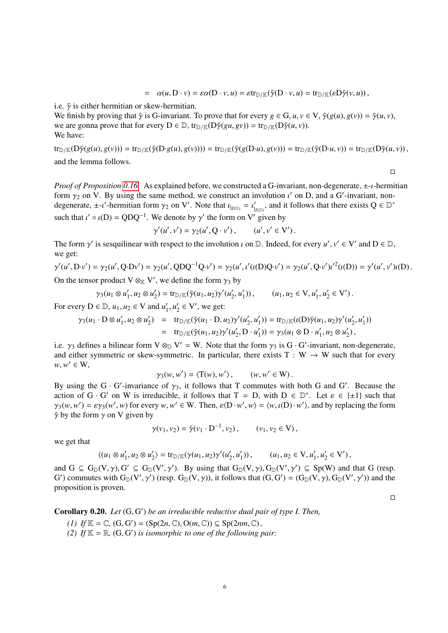$$
= \alpha(u, D \cdot v) = \varepsilon \alpha(D \cdot v, u) = \varepsilon \text{tr}_{D/\mathbb{K}}(\tilde{\gamma}(D \cdot v, u) = \text{tr}_{D/\mathbb{K}}(\varepsilon D \tilde{\gamma}(v, u)),
$$

i.e.  $\tilde{\gamma}$  is either hermitian or skew-hermitian.

We finish by proving that  $\tilde{\gamma}$  is G-invariant. To prove that for every  $g \in G, u, v \in V$ ,  $\tilde{\gamma}(g(u), g(v)) = \tilde{\gamma}(u, v)$ , we are gonna prove that for every  $D \in \mathbb{D}$ ,  $tr_{\mathbb{D}}(\mathbb{K}(D\tilde{\gamma}(gu, gv)) = tr_{\mathbb{D}}(\mathbb{K}(D\tilde{\gamma}(u, v))).$ We have:

 $\text{tr}_{\mathbb{D}/\mathbb{K}}(D\tilde{\gamma}(g(u),g(v))) = \text{tr}_{\mathbb{D}/\mathbb{K}}(\tilde{\gamma}(D\cdot g(u),g(v)))) = \text{tr}_{\mathbb{D}/\mathbb{K}}(\tilde{\gamma}(g(D\cdot u),g(v))) = \text{tr}_{\mathbb{D}/\mathbb{K}}(\tilde{\gamma}(D\cdot u,v)) = \text{tr}_{\mathbb{D}/\mathbb{K}}(D\tilde{\gamma}(u,v)),$ and the lemma follows.

 $\Box$ 

 $\Box$ 

*Proof of Proposition [0.16.](#page-3-1)* As explained before, we constructed a G-invariant, non-degenerate, <sup>±</sup>-ι-hermitian form  $\gamma_2$  on V. By using the same method, we construct an involution  $\iota'$  on D, and a G'-invariant, non-<br>degenerate  $\pm \iota'$ -hermitian form  $\gamma_2$  on V'. Note that  $\iota = \iota'$  and it follows that there exists  $\Omega \in \mathbb{$ degenerate,  $\pm -i'$ -hermitian form  $\gamma_2$  on V'. Note that  $\iota_{|z(\mathbb{D})} = \iota'_{|z(\mathbb{D})}$ , and it follows that there exists  $Q \in \mathbb{D}^*$ such that  $\iota' \circ \iota(D) = QDQ^{-1}$ . We denote by  $\gamma'$  the form on V' given by

$$
\gamma'(u',v') = \gamma_2(u',Q\cdot v'), \qquad (u',v' \in V').
$$

The form  $\gamma'$  is sesquilinear with respect to the involution  $\iota$  on  $\mathbb{D}$ . Indeed, for every  $u', v' \in V'$  and  $D \in \mathbb{D}$ , we get: we get:

$$
\gamma'(u', D \cdot v') = \gamma_2(u', Q \cdot D v') = \gamma_2(u', Q D Q^{-1} Q \cdot v') = \gamma_2(u', \iota'(u(D) Q \cdot v') = \gamma_2(u', Q \cdot v') \iota'^2(\iota(D)) = \gamma'(u', \nu') \iota(D).
$$

On the tensor product V  $\otimes_{\mathbb{K}} V'$ , we define the form  $\gamma_3$  by

$$
\gamma_3(u_1 \otimes u_1', u_2 \otimes u_2') = \text{tr}_{\mathbb{D}/\mathbb{K}}(\tilde{\gamma}(u_1, u_2)\gamma'(u_2', u_1')), \qquad (u_1, u_2 \in \mathcal{V}, u_1', u_2' \in \mathcal{V}').
$$

For every  $D \in \mathbb{D}$ ,  $u_1, u_2 \in V$  and  $u'_1$  $x'_1, u'_2$  $y_2' \in V'$ , we get:

$$
\gamma_3(u_1 \cdot D \otimes u_1', u_2 \otimes u_2') = \text{tr}_{D/\mathbb{K}}(\tilde{\gamma}(u_1 \cdot D, u_2)\gamma'(u_2', u_1')) = \text{tr}_{D/\mathbb{K}}(\iota(D)\tilde{\gamma}(u_1, u_2)\gamma'(u_2', u_1'))
$$
  
=  $\text{tr}_{D/\mathbb{K}}(\tilde{\gamma}(u_1, u_2)\gamma'(u_2', D \cdot u_1')) = \gamma_3(u_1 \otimes D \cdot u_1', u_2 \otimes u_2'),$ 

i.e.  $\gamma_3$  defines a bilinear form V  $\otimes_{\mathbb{D}} V' = W$ . Note that the form  $\gamma_3$  is G · G'-invariant, non-degenerate, and either symmetric or skew-symmetric. In particular, there exists T · W  $\rightarrow$  W such that for every and either symmetric or skew-symmetric. In particular, there exists  $T : W \to W$  such that for every  $w, w' \in W$ ,

$$
\gamma_3(w, w') = \langle T(w), w' \rangle, \qquad (w, w' \in W).
$$

 $\gamma_3(w, w') = \langle T(w), w' \rangle$ ,  $(w, w' \in W)$ .<br>By using the G · G'-invariance of  $\gamma_3$ , it follows that T commutes with both G and G'. Because the<br>action of G · G' on W is irreducible, it follows that T – D, with D  $\in \mathbb{D}^*$ . Let action of G · G' on W is irreducible, it follows that  $T = D$ , with  $D \in \mathbb{D}^*$ . Let  $\varepsilon \in \{\pm 1\}$  such that  $\gamma_2(w, w') = \varepsilon \gamma_2(w', w)$  for every  $w, w' \in W$ . Then  $\varepsilon(D \cdot w', w) = \langle w, \iota(D) \cdot w' \rangle$  and by replacing the form  $\gamma_3(w, w') = \varepsilon \gamma_3(w', w)$  for every  $w, w' \in W$ . Then,  $\varepsilon \langle D \cdot w', w \rangle = \langle w, \iota(D) \cdot w' \rangle$ , and by replacing the form  $\tilde{\gamma}$  by the form  $\gamma$  on V given by  $\tilde{\gamma}$  by the form  $\gamma$  on V given by

 $\gamma(v_1, v_2) = \tilde{\gamma}(v_1 \cdot D^{-1}, v_2), \qquad (v_1, v_2 \in V),$ 

we get that

$$
\langle (u_1 \otimes u_1', u_2 \otimes u_2') \rangle = \text{tr}_{\mathbb{D}/\mathbb{K}}(\gamma(u_1, u_2)\gamma'(u_2', u_1')) \,, \qquad (u_1, u_2 \in \mathcal{V}, u_1', u_2' \in \mathcal{V}') \,,
$$

and  $G \subseteq G_{\mathbb{D}}(V, \gamma), G' \subseteq G_{\mathbb{D}}(V', \gamma')$ . By using that  $G_{\mathbb{D}}(V, \gamma), G_{\mathbb{D}}(V', \gamma') \subseteq Sp(W)$  and that G (resp.<br>G') commutes with  $G_{\mathbb{D}}(V', \gamma')$  (resp.  $G_{\mathbb{D}}(V, \gamma)$ ) it follows that  $(G, G') = (G_{\mathbb{D}}(V, \gamma) \cdot G_{\mathbb{D}}(V',$ G') commutes with  $G_D(V', \gamma')$  (resp.  $G_D(V, \gamma)$ ), it follows that  $(G, G') = (G_D(V, \gamma), G_D(V', \gamma'))$  and the proposition is proven proposition is proven.

**Corollary 0.20.** *Let*  $(G, G')$  *be an irreducible reductive dual pair of type I. Then,*<br>(1)  $H^* = G(G, G') - (S \pi (2 \pi G) \circ G(\pi G)) \in S \pi (2 \pi \pi G)$ 

- (1) If  $\mathbb{K} = \mathbb{C}$ ,  $(G, G') = (Sp(2n, \mathbb{C}), O(m, \mathbb{C})) \subseteq Sp(2nm, \mathbb{C}),$ <br>(2) If  $\mathbb{K} = \mathbb{R}$  (G G') is isomorphic to one of the following i
- (2) If  $\mathbb{K} = \mathbb{R}$ ,  $(G, G')$  *is isomorphic to one of the following pair:*